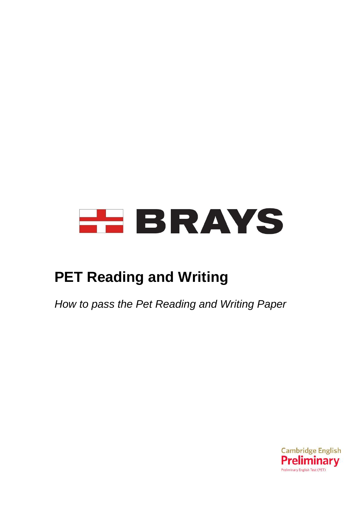

# **PET Reading and Writing**

*How to pass the Pet Reading and Writing Paper*

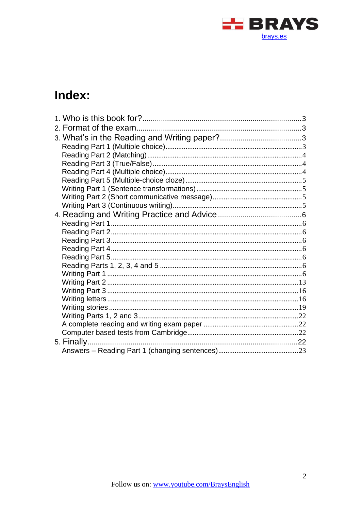

# Index: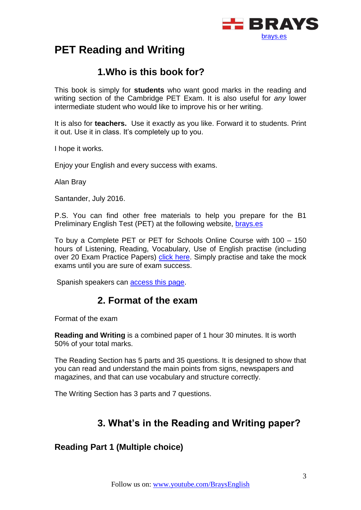

# **PET Reading and Writing**

# **1.Who is this book for?**

<span id="page-2-0"></span>This book is simply for **students** who want good marks in the reading and writing section of the Cambridge PET Exam. It is also useful for *any* lower intermediate student who would like to improve his or her writing.

It is also for **teachers.** Use it exactly as you like. Forward it to students. Print it out. Use it in class. It's completely up to you.

I hope it works.

Enjoy your English and every success with exams.

Alan Bray

Santander, July 2016.

P.S. You can find other free materials to help you prepare for the B1 Preliminary English Test (PET) at the following website, [brays.es](http://brays.es/)

To buy a Complete PET or PET for Schools Online Course with 100 – 150 hours of Listening, Reading, Vocabulary, Use of English practise (including over 20 Exam Practice Papers) [click here.](https://brays.es/online/descripcion/) Simply practise and take the mock exams until you are sure of exam success.

<span id="page-2-1"></span>Spanish speakers can [access this page.](https://brays.es/online/descripcion/)

# **2. Format of the exam**

Format of the exam

**Reading and Writing** is a combined paper of 1 hour 30 minutes. It is worth 50% of your total marks.

The Reading Section has 5 parts and 35 questions. It is designed to show that you can read and understand the main points from signs, newspapers and magazines, and that can use vocabulary and structure correctly.

<span id="page-2-2"></span>The Writing Section has 3 parts and 7 questions.

# **3. What's in the Reading and Writing paper?**

# <span id="page-2-3"></span>**Reading Part 1 (Multiple choice)**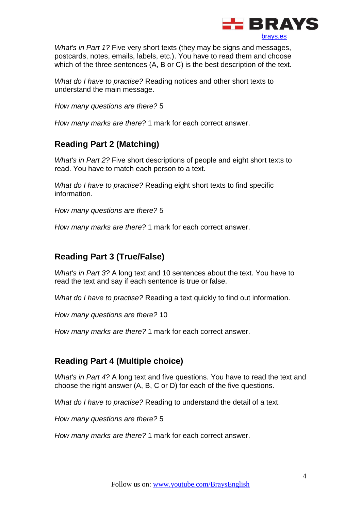

*What's in Part 1?* Five very short texts (they may be signs and messages, postcards, notes, emails, labels, etc.). You have to read them and choose which of the three sentences (A, B or C) is the best description of the text.

*What do I have to practise?* Reading notices and other short texts to understand the main message.

*How many questions are there?* 5

*How many marks are there?* 1 mark for each correct answer.

# <span id="page-3-0"></span>**Reading Part 2 (Matching)**

*What's in Part 2?* Five short descriptions of people and eight short texts to read. You have to match each person to a text.

*What do I have to practise?* Reading eight short texts to find specific information.

*How many questions are there?* 5

*How many marks are there?* 1 mark for each correct answer.

# <span id="page-3-1"></span>**Reading Part 3 (True/False)**

*What's in Part 3?* A long text and 10 sentences about the text. You have to read the text and say if each sentence is true or false.

*What do I have to practise?* Reading a text quickly to find out information.

*How many questions are there?* 10

*How many marks are there?* 1 mark for each correct answer.

# <span id="page-3-2"></span>**Reading Part 4 (Multiple choice)**

*What's in Part 4?* A long text and five questions. You have to read the text and choose the right answer (A, B, C or D) for each of the five questions.

*What do I have to practise?* Reading to understand the detail of a text.

*How many questions are there?* 5

*How many marks are there?* 1 mark for each correct answer.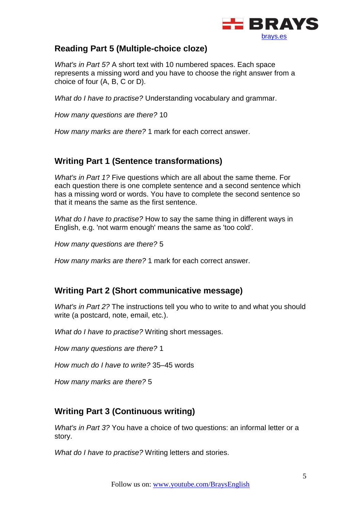

# <span id="page-4-0"></span>**Reading Part 5 (Multiple-choice cloze)**

*What's in Part 5?* A short text with 10 numbered spaces. Each space represents a missing word and you have to choose the right answer from a choice of four (A, B, C or D).

*What do I have to practise?* Understanding vocabulary and grammar.

*How many questions are there?* 10

*How many marks are there?* 1 mark for each correct answer.

# <span id="page-4-1"></span>**Writing Part 1 (Sentence transformations)**

*What's in Part 1?* Five questions which are all about the same theme. For each question there is one complete sentence and a second sentence which has a missing word or words. You have to complete the second sentence so that it means the same as the first sentence.

*What do I have to practise?* How to say the same thing in different ways in English, e.g. 'not warm enough' means the same as 'too cold'.

*How many questions are there?* 5

*How many marks are there?* 1 mark for each correct answer.

# <span id="page-4-2"></span>**Writing Part 2 (Short communicative message)**

*What's in Part 2?* The instructions tell you who to write to and what you should write (a postcard, note, email, etc.).

*What do I have to practise?* Writing short messages.

*How many questions are there?* 1

*How much do I have to write?* 35–45 words

*How many marks are there?* 5

# <span id="page-4-3"></span>**Writing Part 3 (Continuous writing)**

*What's in Part 3?* You have a choice of two questions: an informal letter or a story.

*What do I have to practise?* Writing letters and stories.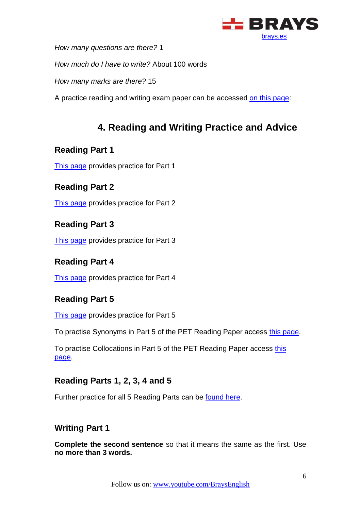

*How many questions are there?* 1

*How much do I have to write?* About 100 words

*How many marks are there?* 15

A practice reading and writing exam paper can be accessed [on this page:](http://www.cambridgeenglish.org/exams/preliminary/exam-format/)

# **4. Reading and Writing Practice and Advice**

# <span id="page-5-1"></span><span id="page-5-0"></span>**Reading Part 1**

[This page](http://www.flo-joe.co.uk/preliminaryenglish/reading/pet_reading_part_1_practice_test.htm) provides practice for Part 1

# <span id="page-5-2"></span>**Reading Part 2**

[This page](http://www.flo-joe.co.uk/preliminaryenglish/reading/pet_reading_practise_test_part_2.htm) provides practice for Part 2

# <span id="page-5-3"></span>**Reading Part 3**

[This page](http://www.flo-joe.co.uk/preliminaryenglish/reading/pet_reading_part_3_practice_test.htm) provides practice for Part 3

# <span id="page-5-4"></span>**Reading Part 4**

[This page](http://www.flo-joe.co.uk/preliminaryenglish/reading/pet_reading_part_4_practice_test.htm) provides practice for Part 4

# <span id="page-5-5"></span>**Reading Part 5**

[This page](http://www.flo-joe.co.uk/preliminaryenglish/reading/pet_reading_practise_test_part_5.htm) provides practice for Part 5

To practise Synonyms in Part 5 of the PET Reading Paper access [this page.](http://www.flo-joe.co.uk/preliminaryenglish/vocabulary/pet-synonyms.htm)

To practise Collocations in Part 5 of the PET Reading Paper access [this](http://www.flo-joe.co.uk/preliminaryenglish/vocabulary/pet-collocations.htm)  [page.](http://www.flo-joe.co.uk/preliminaryenglish/vocabulary/pet-collocations.htm)

# <span id="page-5-6"></span>**Reading Parts 1, 2, 3, 4 and 5**

Further practice for all 5 Reading Parts can be [found here.](http://www.englishaula.com/en/pet-exam-reading-cambridge-preliminary-english-test-video-lessons-practice-tests-exercises.php)

# <span id="page-5-7"></span>**Writing Part 1**

**Complete the second sentence** so that it means the same as the first. Use **no more than 3 words.**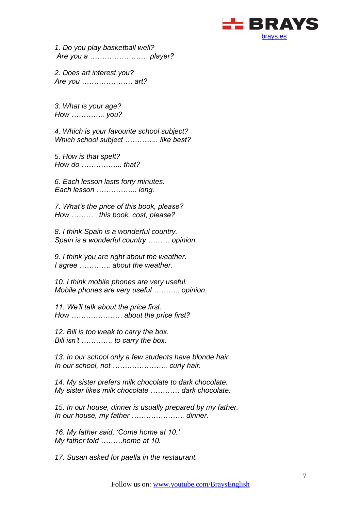

*1. Do you play basketball well? Are you a …………………… player?*

*2. Does art interest you? Are you ………………… art?*

*3. What is your age? How ………….. you?*

*4. Which is your favourite school subject? Which school subject ………….. like best?*

*5. How is that spelt? How do …………….. that?*

*6. Each lesson lasts forty minutes. Each lesson …………….. long.*

*7. What's the price of this book, please? How ……… this book, cost, please?*

*8. I think Spain is a wonderful country. Spain is a wonderful country ……… opinion.*

*9. I think you are right about the weather. I agree …………. about the weather.*

*10. I think mobile phones are very useful. Mobile phones are very useful ……….. opinion.*

*11. We'll talk about the price first. How ………………… about the price first?*

*12. Bill is too weak to carry the box. Bill isn't …………. to carry the box.*

*13. In our school only a few students have blonde hair. In our school, not ………………….. curly hair.*

*14. My sister prefers milk chocolate to dark chocolate. My sister likes milk chocolate ………… dark chocolate.*

*15. In our house, dinner is usually prepared by my father. In our house, my father …………………. dinner.*

*16. My father said, 'Come home at 10.' My father told ………home at 10.*

*17. Susan asked for paella in the restaurant.*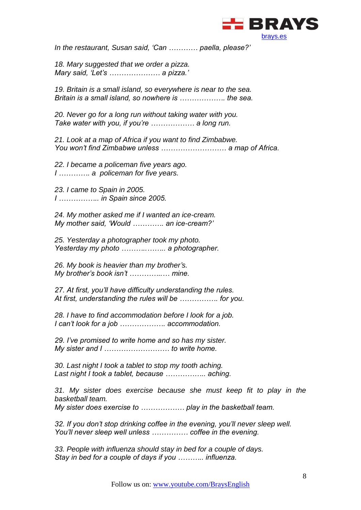

*In the restaurant, Susan said, 'Can ………… paella, please?'*

*18. Mary suggested that we order a pizza. Mary said, 'Let's ………………… a pizza.'*

*19. Britain is a small island, so everywhere is near to the sea. Britain is a small island, so nowhere is ………………. the sea.*

*20. Never go for a long run without taking water with you. Take water with you, if you're ……………… a long run.*

*21. Look at a map of Africa if you want to find Zimbabwe. You won't find Zimbabwe unless ……………………… a map of Africa.*

*22. I became a policeman five years ago. I …………. a policeman for five years.*

*23. I came to Spain in 2005. I …………….. in Spain since 2005.*

*24. My mother asked me if I wanted an ice-cream. My mother said, 'Would …………. an ice-cream?'*

*25. Yesterday a photographer took my photo. Yesterday my photo ………..…….. a photographer.*

*26. My book is heavier than my brother's. My brother's book isn't …………..… mine.*

*27. At first, you'll have difficulty understanding the rules. At first, understanding the rules will be ……………. for you.*

*28. I have to find accommodation before I look for a job. I can't look for a job ………………. accommodation.*

*29. I've promised to write home and so has my sister. My sister and I ……………………… to write home.*

*30. Last night I took a tablet to stop my tooth aching. Last night I took a tablet, because …………….. aching.*

*31. My sister does exercise because she must keep fit to play in the basketball team. My sister does exercise to ……………… play in the basketball team.*

*32. If you don't stop drinking coffee in the evening, you'll never sleep well. You'll never sleep well unless …………… coffee in the evening.*

*33. People with influenza should stay in bed for a couple of days. Stay in bed for a couple of days if you ……….. influenza.*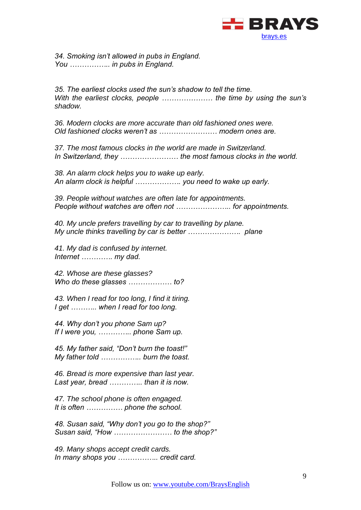

*34. Smoking isn't allowed in pubs in England. You …………….. in pubs in England.*

*35. The earliest clocks used the sun's shadow to tell the time. With the earliest clocks, people ………………… the time by using the sun's shadow.*

*36. Modern clocks are more accurate than old fashioned ones were. Old fashioned clocks weren't as …………………… modern ones are.*

*37. The most famous clocks in the world are made in Switzerland. In Switzerland, they …………………… the most famous clocks in the world.*

*38. An alarm clock helps you to wake up early. An alarm clock is helpful ………………. you need to wake up early.*

*39. People without watches are often late for appointments. People without watches are often not ………………….. for appointments.*

*40. My uncle prefers travelling by car to travelling by plane. My uncle thinks travelling by car is better …………………. plane*

*41. My dad is confused by internet. Internet …………. my dad.*

*42. Whose are these glasses? Who do these glasses ……………… to?*

*43. When I read for too long, I find it tiring. I get ……….. when I read for too long.*

*44. Why don't you phone Sam up? If I were you, ………….. phone Sam up.*

*45. My father said, "Don't burn the toast!" My father told …………….. burn the toast.*

*46. Bread is more expensive than last year. Last year, bread ………….. than it is now.*

*47. The school phone is often engaged. It is often …………… phone the school.*

*48. Susan said, "Why don't you go to the shop?" Susan said, "How …………………… to the shop?"*

*49. Many shops accept credit cards. In many shops you …………….. credit card.*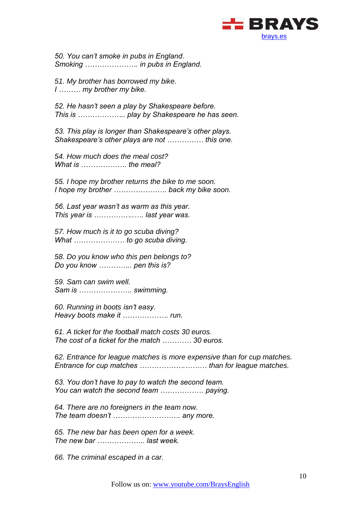

*50. You can't smoke in pubs in England. Smoking …………………. in pubs in England.*

*51. My brother has borrowed my bike. I ……… my brother my bike.*

*52. He hasn't seen a play by Shakespeare before. This is ……………….. play by Shakespeare he has seen.*

*53. This play is longer than Shakespeare's other plays. Shakespeare's other plays are not …………… this one.*

*54. How much does the meal cost? What is ………………. the meal?*

*55. I hope my brother returns the bike to me soon. I hope my brother …………………. back my bike soon.*

*56. Last year wasn't as warm as this year. This year is ……………..…. last year was.*

*57. How much is it to go scuba diving? What ………………… to go scuba diving.*

*58. Do you know who this pen belongs to? Do you know ………….. pen this is?*

*59. Sam can swim well. Sam is …………………. swimming.*

*60. Running in boots isn't easy. Heavy boots make it ………………. run.*

*61. A ticket for the football match costs 30 euros. The cost of a ticket for the match ………… 30 euros.*

*62. Entrance for league matches is more expensive than for cup matches. Entrance for cup matches ……………….……… than for league matches.*

*63. You don't have to pay to watch the second team. You can watch the second team ……………… paying.*

*64. There are no foreigners in the team now. The team doesn't ………………………. any more.*

*65. The new bar has been open for a week. The new bar ……………….. last week.*

*66. The criminal escaped in a car.*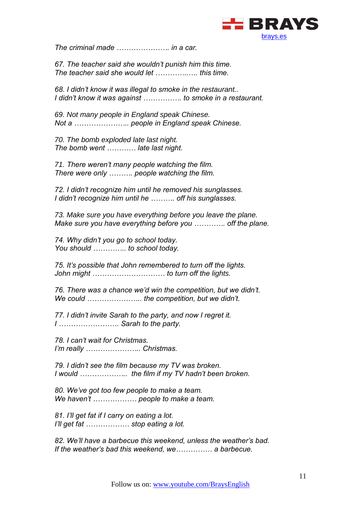

*The criminal made …………………. in a car.*

*67. The teacher said she wouldn't punish him this time. The teacher said she would let …………..…. this time.*

*68. I didn't know it was illegal to smoke in the restaurant.. I didn't know it was against ……………. to smoke in a restaurant.*

*69. Not many people in England speak Chinese. Not a ………………….. people in England speak Chinese.*

*70. The bomb exploded late last night. The bomb went ………… late last night.*

*71. There weren't many people watching the film. There were only ………. people watching the film.*

*72. I didn't recognize him until he removed his sunglasses. I didn't recognize him until he ………. off his sunglasses.*

*73. Make sure you have everything before you leave the plane. Make sure you have everything before you …………. off the plane.*

*74. Why didn't you go to school today. You should ………….. to school today.*

*75. It's possible that John remembered to turn off the lights. John might ………………………… to turn off the lights.*

*76. There was a chance we'd win the competition, but we didn't. We could ………………….. the competition, but we didn't.*

*77. I didn't invite Sarah to the party, and now I regret it. I ……………………. Sarah to the party.*

*78. I can't wait for Christmas. I'm really ………………….. Christmas.*

*79. I didn't see the film because my TV was broken. I would ……………….. the film if my TV hadn't been broken.*

*80. We've got too few people to make a team. We haven't ……………… people to make a team.*

*81. I'll get fat if I carry on eating a lot. I'll get fat ……………… stop eating a lot.*

*82. We'll have a barbecue this weekend, unless the weather's bad. If the weather's bad this weekend, we…………… a barbecue.*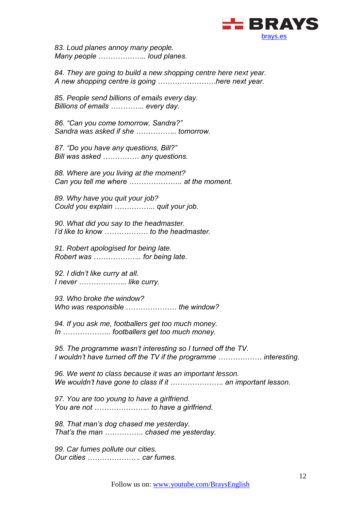

*83. Loud planes annoy many people. Many people ……………….. loud planes.*

*84. They are going to build a new shopping centre here next year. A new shopping centre is going ……………………here next year.*

*85. People send billions of emails every day. Billions of emails ………….. every day.* 

*86. "Can you come tomorrow, Sandra?" Sandra was asked if she …………….. tomorrow.*

*87. "Do you have any questions, Bill?" Bill was asked …………… any questions.*

*88. Where are you living at the moment? Can you tell me where …………………. at the moment.*

*89. Why have you quit your job? Could you explain …………….. quit your job.*

*90. What did you say to the headmaster. I'd like to know ……………… to the headmaster.*

*91. Robert apologised for being late. Robert was ……………….. for being late.*

*92. I didn't like curry at all. I never ……………….. like curry.*

*93. Who broke the window? Who was responsible ………………… the window?*

*94. If you ask me, footballers get too much money. In ……………….. footballers get too much money.*

*95. The programme wasn't interesting so I turned off the TV. I wouldn't have turned off the TV if the programme ……………… interesting.*

*96. We went to class because it was an important lesson. We wouldn't have gone to class if it …………………. an important lesson.*

*97. You are too young to have a girlfriend. You are not ………………….. to have a girlfriend.*

*98. That man's dog chased me yesterday. That's the man ……………. chased me yesterday.*

*99. Car fumes pollute our cities. Our cities …………………. car fumes.*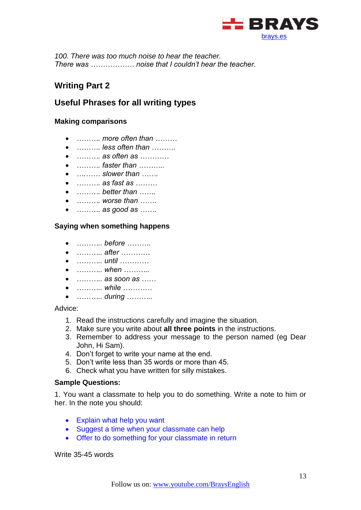

*100. There was too much noise to hear the teacher. There was ……………… noise that I couldn't hear the teacher.*

# <span id="page-12-0"></span>**Writing Part 2**

# **Useful Phrases for all writing types**

#### **Making comparisons**

- *………. more often than ………*
- *………. less often than ……….*
- *………. as often as …………*
- *………. faster than ………..*
- *….…… slower than …….*
- *………. as fast as ………*
- *………. better than …….*
- *………. worse than …….*
- *………. as good as …….*

#### **Saying when something happens**

- *……….. before ……….*
- *……….. after …………*
- *……….. until …………*
- *……….. when ………..*
- *……….. as soon as ……*
- *……….. while …………*
- *……….. during ………..*

Advice:

- 1. Read the instructions carefully and imagine the situation.
- 2. Make sure you write about **all three points** in the instructions.
- 3. Remember to address your message to the person named (eg Dear John, Hi Sam).
- 4. Don't forget to write your name at the end.
- 5. Don't write less than 35 words or more than 45.
- 6. Check what you have written for silly mistakes.

#### **Sample Questions:**

1. You want a classmate to help you to do something. Write a note to him or her. In the note you should:

- Explain what help you want
- Suggest a time when your classmate can help
- Offer to do something for your classmate in return

Write 35-45 words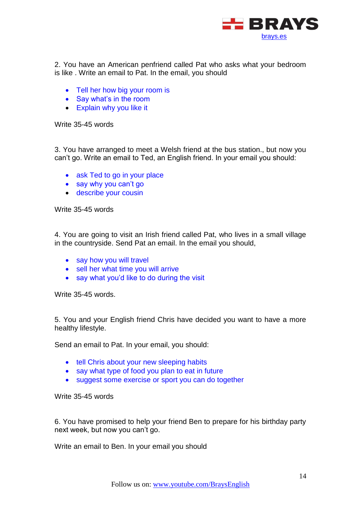

2. You have an American penfriend called Pat who asks what your bedroom is like . Write an email to Pat. In the email, you should

- Tell her how big your room is
- Say what's in the room
- Explain why you like it

Write 35-45 words

3. You have arranged to meet a Welsh friend at the bus station., but now you can't go. Write an email to Ted, an English friend. In your email you should:

- ask Ted to go in your place
- say why you can't go
- describe your cousin

Write 35-45 words

4. You are going to visit an Irish friend called Pat, who lives in a small village in the countryside. Send Pat an email. In the email you should,

- say how you will travel
- sell her what time you will arrive
- say what you'd like to do during the visit

Write 35-45 words.

5. You and your English friend Chris have decided you want to have a more healthy lifestyle.

Send an email to Pat. In your email, you should:

- tell Chris about your new sleeping habits
- say what type of food you plan to eat in future
- suggest some exercise or sport you can do together

Write 35-45 words

6. You have promised to help your friend Ben to prepare for his birthday party next week, but now you can't go.

Write an email to Ben. In your email you should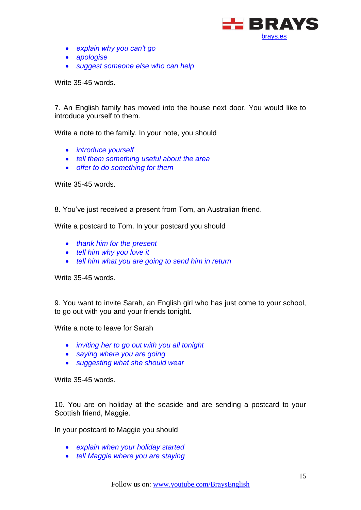

- *explain why you can't go*
- *apologise*
- *suggest someone else who can help*

Write 35-45 words.

7. An English family has moved into the house next door. You would like to introduce yourself to them.

Write a note to the family. In your note, you should

- *introduce yourself*
- *tell them something useful about the area*
- *offer to do something for them*

Write 35-45 words.

8. You've just received a present from Tom, an Australian friend.

Write a postcard to Tom. In your postcard you should

- *thank him for the present*
- *tell him why you love it*
- *tell him what you are going to send him in return*

Write 35-45 words.

9. You want to invite Sarah, an English girl who has just come to your school, to go out with you and your friends tonight.

Write a note to leave for Sarah

- *inviting her to go out with you all tonight*
- *saying where you are going*
- *suggesting what she should wear*

Write 35-45 words.

10. You are on holiday at the seaside and are sending a postcard to your Scottish friend, Maggie.

In your postcard to Maggie you should

- *explain when your holiday started*
- *tell Maggie where you are staying*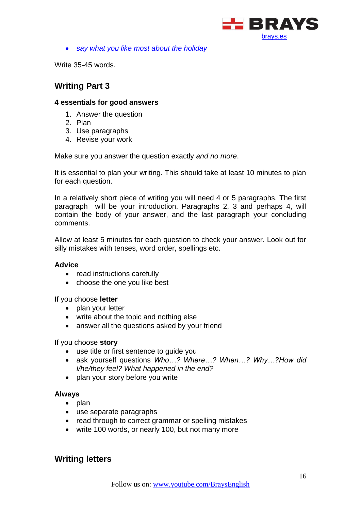

*say what you like most about the holiday*

Write 35-45 words.

# <span id="page-15-0"></span>**Writing Part 3**

#### **4 essentials for good answers**

- 1. Answer the question
- 2. Plan
- 3. Use paragraphs
- 4. Revise your work

Make sure you answer the question exactly *and no more*.

It is essential to plan your writing. This should take at least 10 minutes to plan for each question.

In a relatively short piece of writing you will need 4 or 5 paragraphs. The first paragraph will be your introduction. Paragraphs 2, 3 and perhaps 4, will contain the body of your answer, and the last paragraph your concluding comments.

Allow at least 5 minutes for each question to check your answer. Look out for silly mistakes with tenses, word order, spellings etc.

#### **Advice**

- read instructions carefully
- choose the one you like best

If you choose **letter** 

- plan your letter
- write about the topic and nothing else
- answer all the questions asked by your friend

#### If you choose **story**

- use title or first sentence to guide you
- ask yourself questions *Who…? Where…? When…? Why…?How did I/he/they feel? What happened in the end?*
- plan your story before you write

#### **Always**

- $\bullet$  plan
- use separate paragraphs
- read through to correct grammar or spelling mistakes
- write 100 words, or nearly 100, but not many more

# <span id="page-15-1"></span>**Writing letters**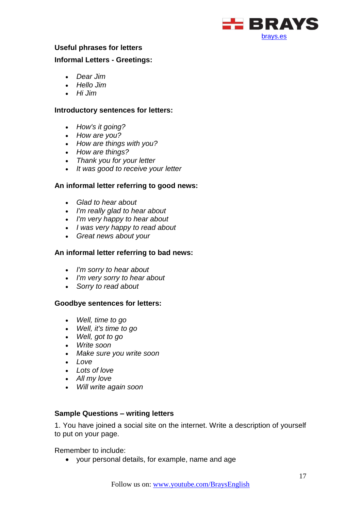

#### **Useful phrases for letters**

#### **Informal Letters - Greetings:**

- *Dear Jim*
- *Hello Jim*
- *Hi Jim*

#### **Introductory sentences for letters:**

- *How's it going?*
- *How are you?*
- *How are things with you?*
- *How are things?*
- *Thank you for your letter*
- *It was good to receive your letter*

#### **An informal letter referring to good news:**

- *Glad to hear about*
- *I'm really glad to hear about*
- *I'm very happy to hear about*
- *I was very happy to read about*
- *Great news about your*

#### **An informal letter referring to bad news:**

- *I'm sorry to hear about*
- *I'm very sorry to hear about*
- *Sorry to read about*

#### **Goodbye sentences for letters:**

- *Well, time to go*
- *Well, it's time to go*
- *Well, got to go*
- *Write soon*
- *Make sure you write soon*
- *Love*
- *Lots of love*
- *All my love*
- *Will write again soon*

#### **Sample Questions – writing letters**

1. You have joined a social site on the internet. Write a description of yourself to put on your page.

Remember to include:

your personal details, for example, name and age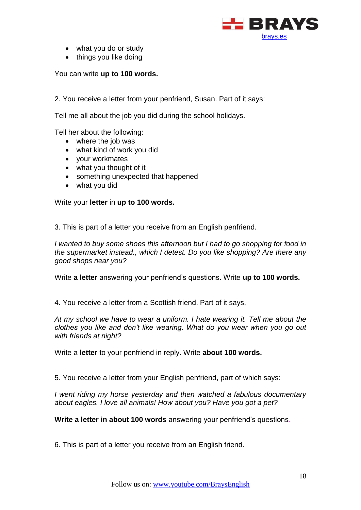

- what you do or study
- things you like doing

You can write **up to 100 words.**

2. You receive a letter from your penfriend, Susan. Part of it says:

Tell me all about the job you did during the school holidays.

Tell her about the following:

- where the job was
- what kind of work you did
- your workmates
- what you thought of it
- something unexpected that happened
- what you did

Write your **letter** in **up to 100 words.**

3. This is part of a letter you receive from an English penfriend.

*I wanted to buy some shoes this afternoon but I had to go shopping for food in the supermarket instead., which I detest. Do you like shopping? Are there any good shops near you?*

Write **a letter** answering your penfriend's questions. Write **up to 100 words.**

4. You receive a letter from a Scottish friend. Part of it says,

*At my school we have to wear a uniform. I hate wearing it. Tell me about the clothes you like and don't like wearing. What do you wear when you go out with friends at night?*

Write a **letter** to your penfriend in reply. Write **about 100 words.**

5. You receive a letter from your English penfriend, part of which says:

*I went riding my horse yesterday and then watched a fabulous documentary about eagles. I love all animals! How about you? Have you got a pet?*

**Write a letter in about 100 words** answering your penfriend's questions.

6. This is part of a letter you receive from an English friend.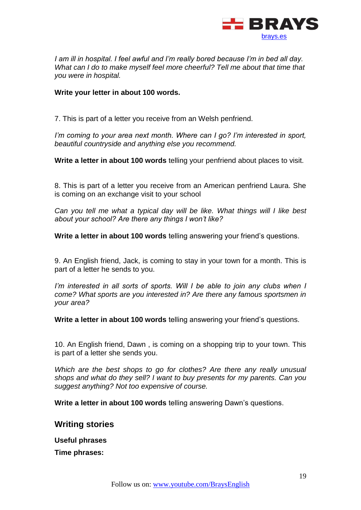

*I am ill in hospital. I feel awful and I'm really bored because I'm in bed all day. What can I do to make myself feel more cheerful? Tell me about that time that you were in hospital.* 

#### **Write your letter in about 100 words.**

7. This is part of a letter you receive from an Welsh penfriend.

*I'm coming to your area next month. Where can I go? I'm interested in sport, beautiful countryside and anything else you recommend.*

**Write a letter in about 100 words** telling your penfriend about places to visit.

8. This is part of a letter you receive from an American penfriend Laura. She is coming on an exchange visit to your school

*Can you tell me what a typical day will be like. What things will I like best about your school? Are there any things I won't like?*

**Write a letter in about 100 words** telling answering your friend's questions.

9. An English friend, Jack, is coming to stay in your town for a month. This is part of a letter he sends to you.

*I'm interested in all sorts of sports. Will I be able to join any clubs when I come? What sports are you interested in? Are there any famous sportsmen in your area?*

**Write a letter in about 100 words** telling answering your friend's questions.

10. An English friend, Dawn , is coming on a shopping trip to your town. This is part of a letter she sends you.

*Which are the best shops to go for clothes? Are there any really unusual shops and what do they sell? I want to buy presents for my parents. Can you suggest anything? Not too expensive of course.* 

**Write a letter in about 100 words** telling answering Dawn's questions.

<span id="page-18-0"></span>**Writing stories**

**Useful phrases**

**Time phrases:**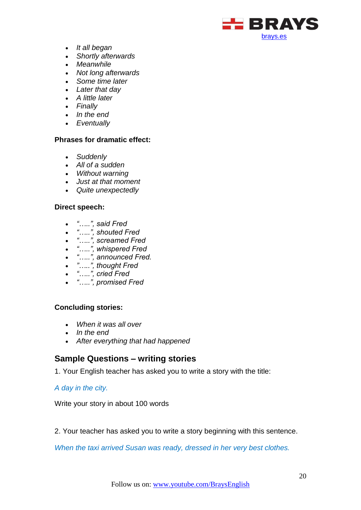

- *It all began*
- *Shortly afterwards*
- *Meanwhile*
- *Not long afterwards*
- *Some time later*
- *Later that day*
- *A little later*
- *Finally*
- *In the end*
- *Eventually*

#### **Phrases for dramatic effect:**

- *Suddenly*
- *All of a sudden*
- *Without warning*
- *Just at that moment*
- *Quite unexpectedly*

#### **Direct speech:**

- *"…..", said Fred*
- *"…..", shouted Fred*
- *"…..", screamed Fred*
- *"…..", whispered Fred*
- *"…..", announced Fred.*
- *"…..", thought Fred*
- *"…..", cried Fred*
- *"…..", promised Fred*

#### **Concluding stories:**

- *When it was all over*
- *In the end*
- *After everything that had happened*

# **Sample Questions – writing stories**

1. Your English teacher has asked you to write a story with the title:

#### *A day in the city.*

Write your story in about 100 words

2. Your teacher has asked you to write a story beginning with this sentence.

*When the taxi arrived Susan was ready, dressed in her very best clothes.*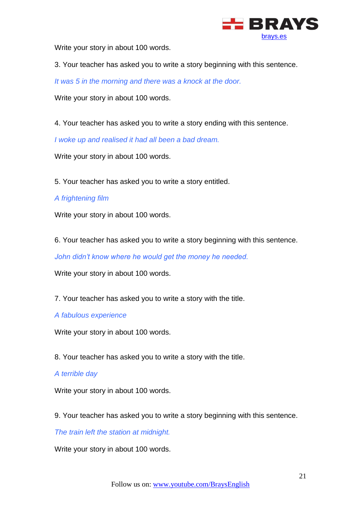

Write your story in about 100 words.

3. Your teacher has asked you to write a story beginning with this sentence.

*It was 5 in the morning and there was a knock at the door.*

Write your story in about 100 words.

4. Your teacher has asked you to write a story ending with this sentence.

*I woke up and realised it had all been a bad dream.*

Write your story in about 100 words.

5. Your teacher has asked you to write a story entitled.

#### *A frightening film*

Write your story in about 100 words.

6. Your teacher has asked you to write a story beginning with this sentence.

*John didn't know where he would get the money he needed.*

Write your story in about 100 words.

7. Your teacher has asked you to write a story with the title.

#### *A fabulous experience*

Write your story in about 100 words.

8. Your teacher has asked you to write a story with the title.

#### *A terrible day*

Write your story in about 100 words.

9. Your teacher has asked you to write a story beginning with this sentence.

*The train left the station at midnight.*

Write your story in about 100 words.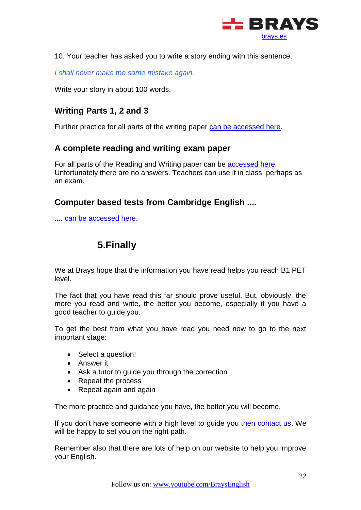

10. Your teacher has asked you to write a story ending with this sentence.

*I shall never make the same mistake again.*

Write your story in about 100 words.

# <span id="page-21-0"></span>**Writing Parts 1, 2 and 3**

Further practice for all parts of the writing paper [can be accessed here.](http://www.englishaula.com/en/pet-exam-writing-cambridge-preliminary-english-test-video-lessons-practice-tests-exercises.php)

### <span id="page-21-1"></span>**A complete reading and writing exam paper**

For all parts of the Reading and Writing paper can be [accessed here.](http://www.consolacioncaravaca.es/ProgramaBeda/data/docs/PET/PET_READWRITE.pdf) Unfortunately there are no answers. Teachers can use it in class, perhaps as an exam.

# <span id="page-21-2"></span>**Computer based tests from Cambridge English ....**

<span id="page-21-3"></span>.... [can be accessed here.](http://www.cambridgeenglish.org/exams/preliminary/preparation/)

# **5.Finally**

We at Brays hope that the information you have read helps you reach B1 PET level.

The fact that you have read this far should prove useful. But, obviously, the more you read and write, the better you become, especially if you have a good teacher to guide you.

To get the best from what you have read you need now to go to the next important stage:

- Select a question!
- **•** Answer it
- Ask a tutor to guide you through the correction
- Repeat the process
- Repeat again and again

The more practice and guidance you have, the better you will become.

If you don't have someone with a high level to guide you [then contact us.](http://brays.es/contacto) We will be happy to set you on the right path.

Remember also that there are lots of help on our website to help you improve your English.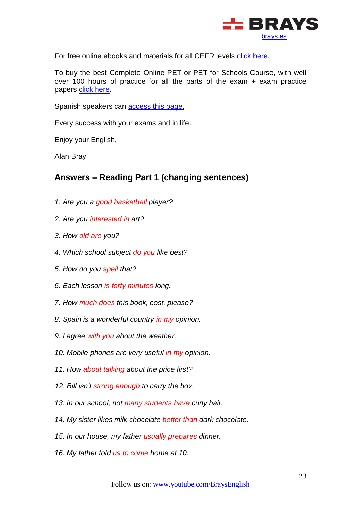

For free online ebooks and materials for all CEFR levels [click here.](http://brays.es/ingles-gratis-online/libros-para-aprender-ingles/)

To buy the best Complete Online PET or PET for Schools Course, with well over 100 hours of practice for all the parts of the exam  $+$  exam practice papers [click here.](https://brays.es/online/descripcion/)

Spanish speakers can **access this page**.

Every success with your exams and in life.

Enjoy your English,

Alan Bray

# <span id="page-22-0"></span>**Answers – Reading Part 1 (changing sentences)**

- *1. Are you a good basketball player?*
- *2. Are you interested in art?*
- *3. How old are you?*
- *4. Which school subject do you like best?*
- *5. How do you spell that?*
- *6. Each lesson is forty minutes long.*
- *7. How much does this book, cost, please?*
- *8. Spain is a wonderful country in my opinion.*
- *9. I agree with you about the weather.*
- *10. Mobile phones are very useful in my opinion.*
- *11. How about talking about the price first?*
- *12. Bill isn't strong enough to carry the box.*
- *13. In our school, not many students have curly hair.*
- *14. My sister likes milk chocolate better than dark chocolate.*
- *15. In our house, my father usually prepares dinner.*
- *16. My father told us to come home at 10.*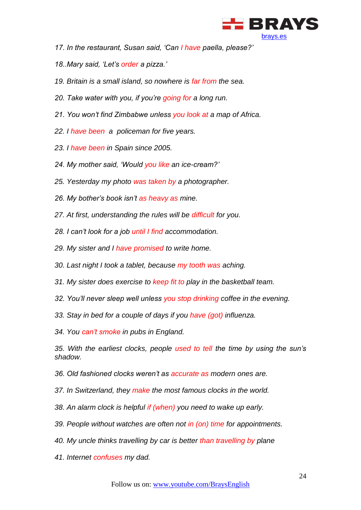

- *17. In the restaurant, Susan said, 'Can I have paella, please?'*
- *18..Mary said, 'Let's order a pizza.'*
- *19. Britain is a small island, so nowhere is far from the sea.*
- *20. Take water with you, if you're going for a long run.*
- *21. You won't find Zimbabwe unless you look at a map of Africa.*
- *22. I have been a policeman for five years.*
- *23. I have been in Spain since 2005.*
- *24. My mother said, 'Would you like an ice-cream?'*
- *25. Yesterday my photo was taken by a photographer.*
- *26. My bother's book isn't as heavy as mine.*
- *27. At first, understanding the rules will be difficult for you.*
- *28. I can't look for a job until I find accommodation.*
- *29. My sister and I have promised to write home.*
- *30. Last night I took a tablet, because my tooth was aching.*
- *31. My sister does exercise to keep fit to play in the basketball team.*
- *32. You'll never sleep well unless you stop drinking coffee in the evening.*
- *33. Stay in bed for a couple of days if you have (got) influenza.*

*34. You can't smoke in pubs in England.*

*35. With the earliest clocks, people used to tell the time by using the sun's shadow.*

*36. Old fashioned clocks weren't as accurate as modern ones are.*

*37. In Switzerland, they make the most famous clocks in the world.*

- *38. An alarm clock is helpful if (when) you need to wake up early.*
- *39. People without watches are often not in (on) time for appointments.*
- *40. My uncle thinks travelling by car is better than travelling by plane*
- *41. Internet confuses my dad.*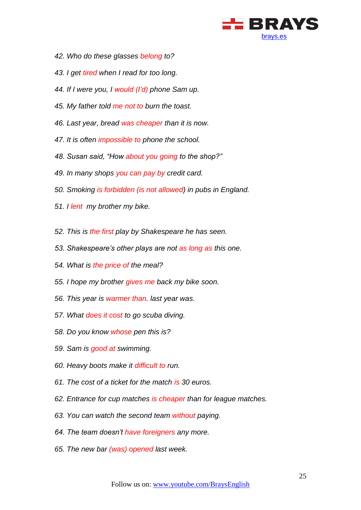

- *42. Who do these glasses belong to?*
- *43. I get tired when I read for too long.*
- *44. If I were you, I would (I'd) phone Sam up.*
- *45. My father told me not to burn the toast.*
- *46. Last year, bread was cheaper than it is now.*
- *47. It is often impossible to phone the school.*
- *48. Susan said, "How about you going to the shop?"*
- *49. In many shops you can pay by credit card.*
- *50. Smoking is forbidden (is not allowed) in pubs in England.*
- *51. I lent my brother my bike.*
- *52. This is the first play by Shakespeare he has seen.*
- *53. Shakespeare's other plays are not as long as this one.*
- *54. What is the price of the meal?*
- *55. I hope my brother gives me back my bike soon.*
- *56. This year is warmer than. last year was.*
- *57. What does it cost to go scuba diving.*
- *58. Do you know whose pen this is?*
- *59. Sam is good at swimming.*
- *60. Heavy boots make it difficult to run.*
- *61. The cost of a ticket for the match is 30 euros.*
- *62. Entrance for cup matches is cheaper than for league matches.*
- *63. You can watch the second team without paying.*
- *64. The team doesn't have foreigners any more.*
- *65. The new bar (was) opened last week.*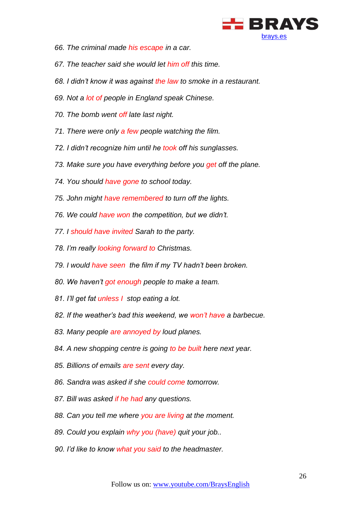

- *66. The criminal made his escape in a car.*
- *67. The teacher said she would let him off this time.*
- *68. I didn't know it was against the law to smoke in a restaurant.*
- *69. Not a lot of people in England speak Chinese.*
- *70. The bomb went off late last night.*
- *71. There were only a few people watching the film.*
- *72. I didn't recognize him until he took off his sunglasses.*
- *73. Make sure you have everything before you get off the plane.*
- *74. You should have gone to school today.*
- *75. John might have remembered to turn off the lights.*
- *76. We could have won the competition, but we didn't.*
- *77. I should have invited Sarah to the party.*
- *78. I'm really looking forward to Christmas.*
- *79. I would have seen the film if my TV hadn't been broken.*
- *80. We haven't got enough people to make a team.*
- *81. I'll get fat unless I stop eating a lot.*
- *82. If the weather's bad this weekend, we won't have a barbecue.*
- *83. Many people are annoyed by loud planes.*
- *84. A new shopping centre is going to be built here next year.*
- *85. Billions of emails are sent every day.*
- *86. Sandra was asked if she could come tomorrow.*
- *87. Bill was asked if he had any questions.*
- *88. Can you tell me where you are living at the moment.*
- *89. Could you explain why you (have) quit your job..*
- *90. I'd like to know what you said to the headmaster.*